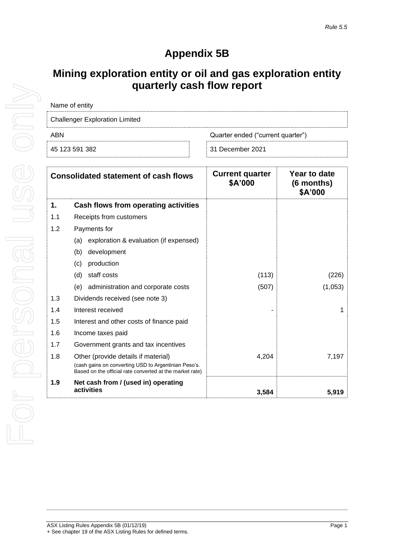## **Appendix 5B**

## **Mining exploration entity or oil and gas exploration entity quarterly cash flow report**

| <b>Challenger Exploration Limited</b> |  |  |
|---------------------------------------|--|--|
| Quarter ended ("current quarter")     |  |  |
| 31 December 2021                      |  |  |
|                                       |  |  |

|     | <b>Consolidated statement of cash flows</b>                                                                      | <b>Current quarter</b><br>\$A'000 | Year to date<br>(6 months)<br>\$A'000 |
|-----|------------------------------------------------------------------------------------------------------------------|-----------------------------------|---------------------------------------|
| 1.  | Cash flows from operating activities                                                                             |                                   |                                       |
| 1.1 | Receipts from customers                                                                                          |                                   |                                       |
| 1.2 | Payments for                                                                                                     |                                   |                                       |
|     | exploration & evaluation (if expensed)<br>(a)                                                                    |                                   |                                       |
|     | (b)<br>development                                                                                               |                                   |                                       |
|     | production<br>(c)                                                                                                |                                   |                                       |
|     | staff costs<br>(d)                                                                                               | (113)                             | (226)                                 |
|     | administration and corporate costs<br>(e)                                                                        | (507)                             | (1,053)                               |
| 1.3 | Dividends received (see note 3)                                                                                  |                                   |                                       |
| 1.4 | Interest received                                                                                                |                                   | 1                                     |
| 1.5 | Interest and other costs of finance paid                                                                         |                                   |                                       |
| 1.6 | Income taxes paid                                                                                                |                                   |                                       |
| 1.7 | Government grants and tax incentives                                                                             |                                   |                                       |
| 1.8 | Other (provide details if material)                                                                              | 4,204                             | 7,197                                 |
|     | (cash gains on converting USD to Argentinian Peso's.<br>Based on the official rate converted at the market rate) |                                   |                                       |
| 1.9 | Net cash from / (used in) operating                                                                              |                                   |                                       |
|     | activities                                                                                                       | 3,584                             | 5,919                                 |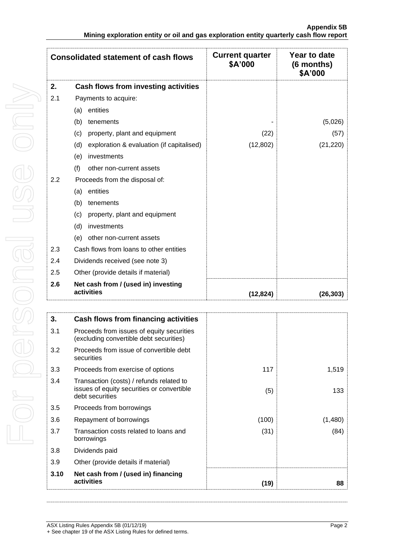|     | <b>Consolidated statement of cash flows</b>       | <b>Current quarter</b><br>\$A'000 | Year to date<br>(6 months)<br>\$A'000 |
|-----|---------------------------------------------------|-----------------------------------|---------------------------------------|
| 2.  | Cash flows from investing activities              |                                   |                                       |
| 2.1 | Payments to acquire:                              |                                   |                                       |
|     | entities<br>(a)                                   |                                   |                                       |
|     | (b)<br>tenements                                  |                                   | (5,026)                               |
|     | property, plant and equipment<br>(c)              | (22)                              | (57)                                  |
|     | exploration & evaluation (if capitalised)<br>(d)  | (12, 802)                         | (21, 220)                             |
|     | investments<br>(e)                                |                                   |                                       |
|     | (f)<br>other non-current assets                   |                                   |                                       |
| 2.2 | Proceeds from the disposal of:                    |                                   |                                       |
|     | entities<br>(a)                                   |                                   |                                       |
|     | (b)<br>tenements                                  |                                   |                                       |
|     | property, plant and equipment<br>(c)              |                                   |                                       |
|     | investments<br>(d)                                |                                   |                                       |
|     | other non-current assets<br>(e)                   |                                   |                                       |
| 2.3 | Cash flows from loans to other entities           |                                   |                                       |
| 2.4 | Dividends received (see note 3)                   |                                   |                                       |
| 2.5 | Other (provide details if material)               |                                   |                                       |
| 2.6 | Net cash from / (used in) investing<br>activities | (12, 824)                         | (26, 303)                             |

| 3.   | Cash flows from financing activities                                                                      |       |         |
|------|-----------------------------------------------------------------------------------------------------------|-------|---------|
| 3.1  | Proceeds from issues of equity securities<br>(excluding convertible debt securities)                      |       |         |
| 3.2  | Proceeds from issue of convertible debt<br>securities                                                     |       |         |
| 3.3  | Proceeds from exercise of options                                                                         | 117   | 1,519   |
| 3.4  | Transaction (costs) / refunds related to<br>issues of equity securities or convertible<br>debt securities | (5)   | 133     |
| 3.5  | Proceeds from borrowings                                                                                  |       |         |
| 3.6  | Repayment of borrowings                                                                                   | (100) | (1,480) |
| 3.7  | Transaction costs related to loans and<br>borrowings                                                      | (31)  | (84)    |
| 3.8  | Dividends paid                                                                                            |       |         |
| 3.9  | Other (provide details if material)                                                                       |       |         |
| 3.10 | Net cash from / (used in) financing<br>activities                                                         | (19)  | 88      |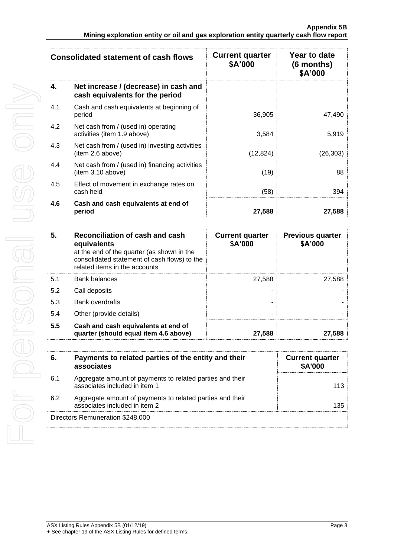|     | <b>Consolidated statement of cash flows</b>                              | <b>Current quarter</b><br>\$A'000 | Year to date<br>$(6$ months)<br>\$A'000 |
|-----|--------------------------------------------------------------------------|-----------------------------------|-----------------------------------------|
| 4.  | Net increase / (decrease) in cash and<br>cash equivalents for the period |                                   |                                         |
| 4.1 | Cash and cash equivalents at beginning of<br>period                      | 36,905                            | 47,490                                  |
| 4.2 | Net cash from / (used in) operating<br>activities (item 1.9 above)       | 3,584                             | 5,919                                   |
| 4.3 | Net cash from / (used in) investing activities<br>(item 2.6 above)       | (12, 824)                         | (26, 303)                               |
| 4.4 | Net cash from / (used in) financing activities<br>(item 3.10 above)      | (19)                              | 88                                      |
| 4.5 | Effect of movement in exchange rates on<br>cash held                     | (58)                              | 394                                     |
| 4.6 | Cash and cash equivalents at end of<br>period                            | 27,588                            | 27,588                                  |

| 5.  | Reconciliation of cash and cash<br>equivalents<br>at the end of the quarter (as shown in the<br>consolidated statement of cash flows) to the<br>related items in the accounts | <b>Current quarter</b><br>\$A'000 | <b>Previous quarter</b><br>\$A'000 |
|-----|-------------------------------------------------------------------------------------------------------------------------------------------------------------------------------|-----------------------------------|------------------------------------|
| 5.1 | <b>Bank balances</b>                                                                                                                                                          | 27,588                            | 27.588                             |
| 5.2 | Call deposits                                                                                                                                                                 |                                   |                                    |
| 5.3 | <b>Bank overdrafts</b>                                                                                                                                                        | ۰                                 |                                    |
| 5.4 | Other (provide details)                                                                                                                                                       | ۰                                 |                                    |
| 5.5 | Cash and cash equivalents at end of<br>quarter (should equal item 4.6 above)                                                                                                  | 27,588                            | 27,588                             |

| 6.                               | Payments to related parties of the entity and their<br>associates                          | <b>Current quarter</b><br>\$A'000 |
|----------------------------------|--------------------------------------------------------------------------------------------|-----------------------------------|
| 6.1                              | Aggregate amount of payments to related parties and their<br>associates included in item 1 | 113                               |
| 6.2                              | Aggregate amount of payments to related parties and their<br>associates included in item 2 | 135                               |
| Directors Remuneration \$248,000 |                                                                                            |                                   |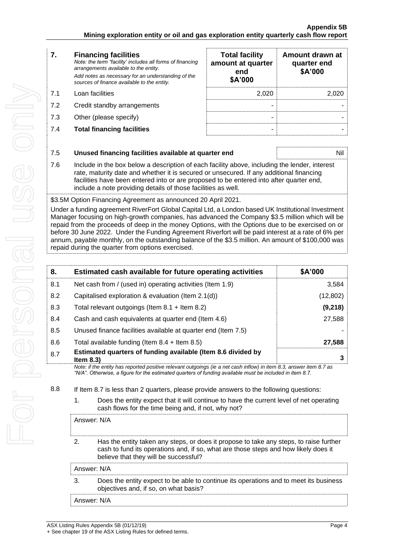| <b>Financing facilities</b><br>7. |
|-----------------------------------|
|-----------------------------------|

*Note: the term "facility' includes all forms of financing arrangements available to the entity. Add notes as necessary for an understanding of the sources of finance available to the entity.*

- 7.1 Loan facilities
- 7.2 Credit standby arrangements
- 7.3 Other (please specify)
- **7.4 Total financing facilities**

| <b>Total facility</b><br>amount at quarter<br>end<br>\$A'000 | Amount drawn at<br>quarter end<br>\$A'000 |
|--------------------------------------------------------------|-------------------------------------------|
| 2,020                                                        | 2.020                                     |
|                                                              |                                           |
|                                                              |                                           |
|                                                              |                                           |

| 7.5 | Unused financing facilities available at quarter end                                                                                                                                                                                                                                                                                                 | Nil |
|-----|------------------------------------------------------------------------------------------------------------------------------------------------------------------------------------------------------------------------------------------------------------------------------------------------------------------------------------------------------|-----|
| 7.6 | Include in the box below a description of each facility above, including the lender, interest<br>rate, maturity date and whether it is secured or unsecured. If any additional financing<br>facilities have been entered into or are proposed to be entered into after quarter end,<br>include a note providing details of those facilities as well. |     |

\$3.5M Option Financing Agreement as announced 20 April 2021.

Under a funding agreement RiverFort Global Capital Ltd, a London based UK Institutional Investment Manager focusing on high-growth companies, has advanced the Company \$3.5 million which will be repaid from the proceeds of deep in the money Options, with the Options due to be exercised on or before 30 June 2022. Under the Funding Agreement Riverfort will be paid interest at a rate of 6% per annum, payable monthly, on the outstanding balance of the \$3.5 million. An amount of \$100,000 was repaid during the quarter from options exercised.

| 8.  | Estimated cash available for future operating activities                                                            | \$A'000   |
|-----|---------------------------------------------------------------------------------------------------------------------|-----------|
| 8.1 | Net cash from / (used in) operating activities (Item 1.9)                                                           | 3,584     |
| 8.2 | Capitalised exploration & evaluation (Item $2.1(d)$ )                                                               | (12, 802) |
| 8.3 | Total relevant outgoings (Item $8.1 +$ Item $8.2$ )                                                                 | (9,218)   |
| 8.4 | Cash and cash equivalents at quarter end (Item 4.6)                                                                 | 27,588    |
| 8.5 | Unused finance facilities available at quarter end (Item 7.5)                                                       |           |
| 8.6 | Total available funding (Item $8.4 +$ Item $8.5$ )                                                                  | 27,588    |
| 8.7 | Estimated quarters of funding available (Item 8.6 divided by<br>Item $8.3$ )                                        | 3         |
|     | Note: if the entity has reported positive relevant outgoings (ie a net cash inflow) in item 8.3, answer item 8.7 as |           |

*"N/A". Otherwise, a figure for the estimated quarters of funding available must be included in item 8.7.*

8.8 If Item 8.7 is less than 2 quarters, please provide answers to the following questions:

1. Does the entity expect that it will continue to have the current level of net operating cash flows for the time being and, if not, why not?

Answer: N/A

2. Has the entity taken any steps, or does it propose to take any steps, to raise further cash to fund its operations and, if so, what are those steps and how likely does it believe that they will be successful?

Answer: N/A

3. Does the entity expect to be able to continue its operations and to meet its business objectives and, if so, on what basis?

Answer: N/A